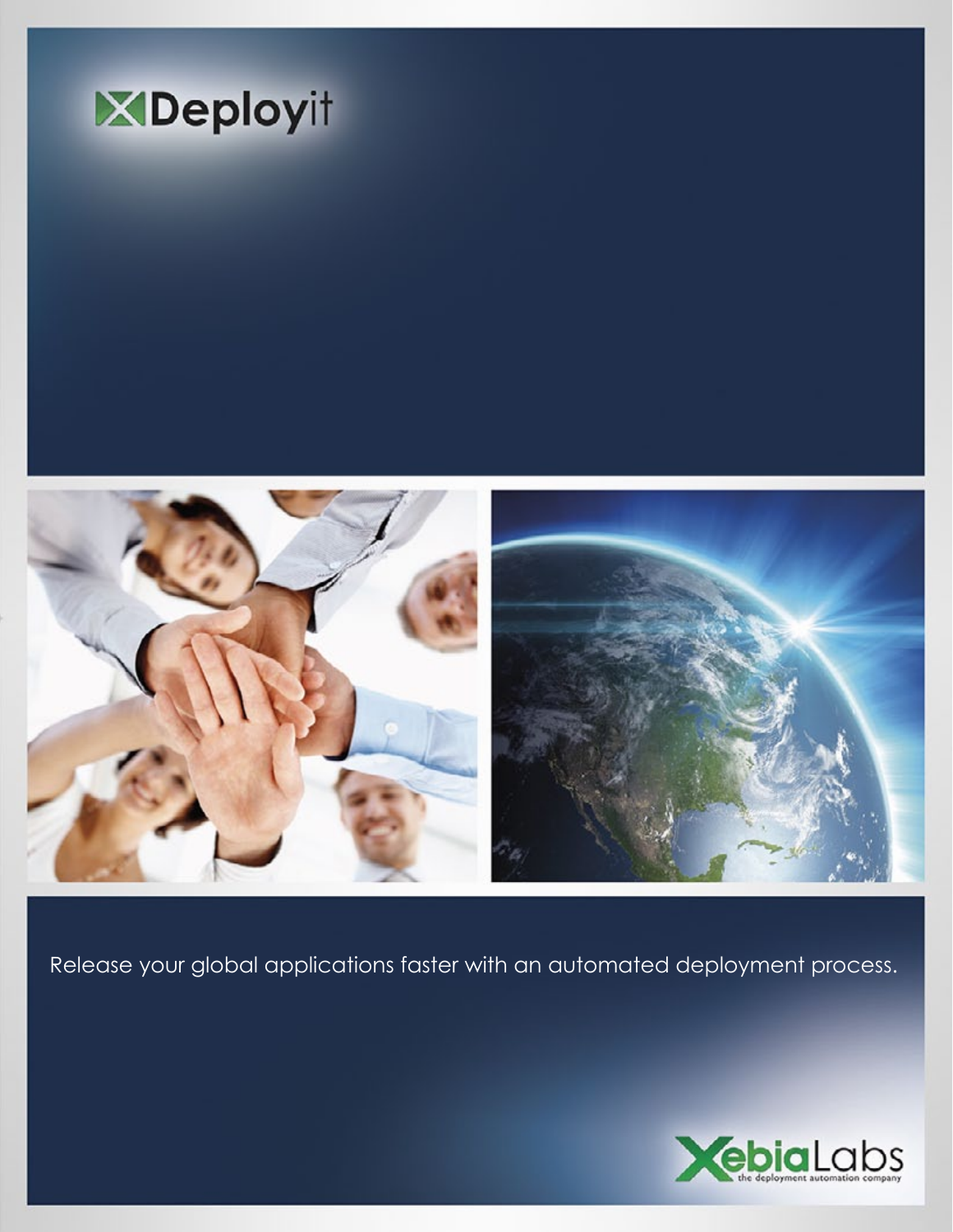



Release your global applications faster with an automated deployment process.

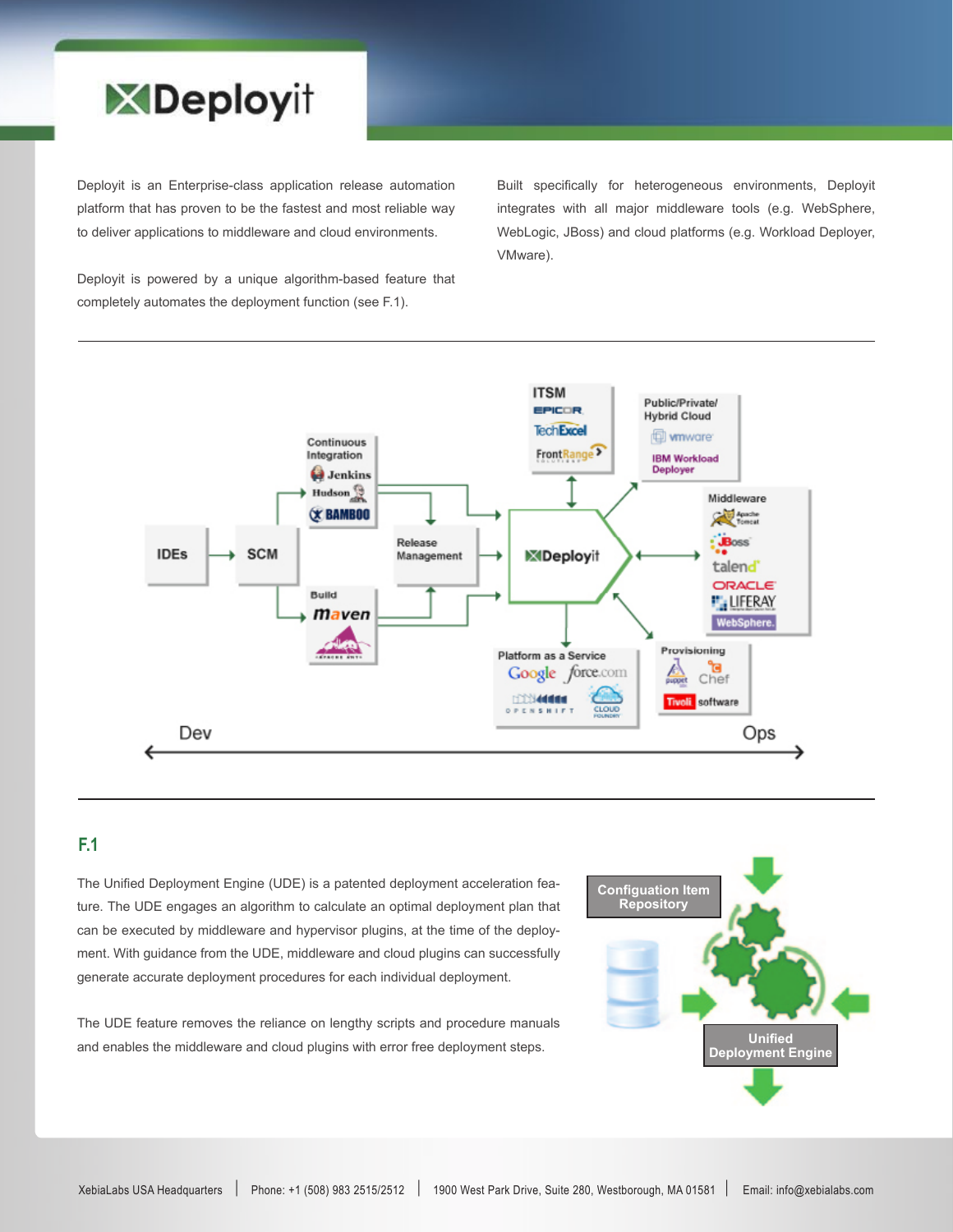

Deployit is an Enterprise-class application release automation platform that has proven to be the fastest and most reliable way to deliver applications to middleware and cloud environments.

Built specifically for heterogeneous environments, Deployit integrates with all major middleware tools (e.g. WebSphere, WebLogic, JBoss) and cloud platforms (e.g. Workload Deployer, VMware).

Deployit is powered by a unique algorithm-based feature that completely automates the deployment function (see F.1).



# **F.1**

The Unified Deployment Engine (UDE) is a patented deployment acceleration feature. The UDE engages an algorithm to calculate an optimal deployment plan that can be executed by middleware and hypervisor plugins, at the time of the deployment. With guidance from the UDE, middleware and cloud plugins can successfully generate accurate deployment procedures for each individual deployment.

The UDE feature removes the reliance on lengthy scripts and procedure manuals and enables the middleware and cloud plugins with error free deployment steps.

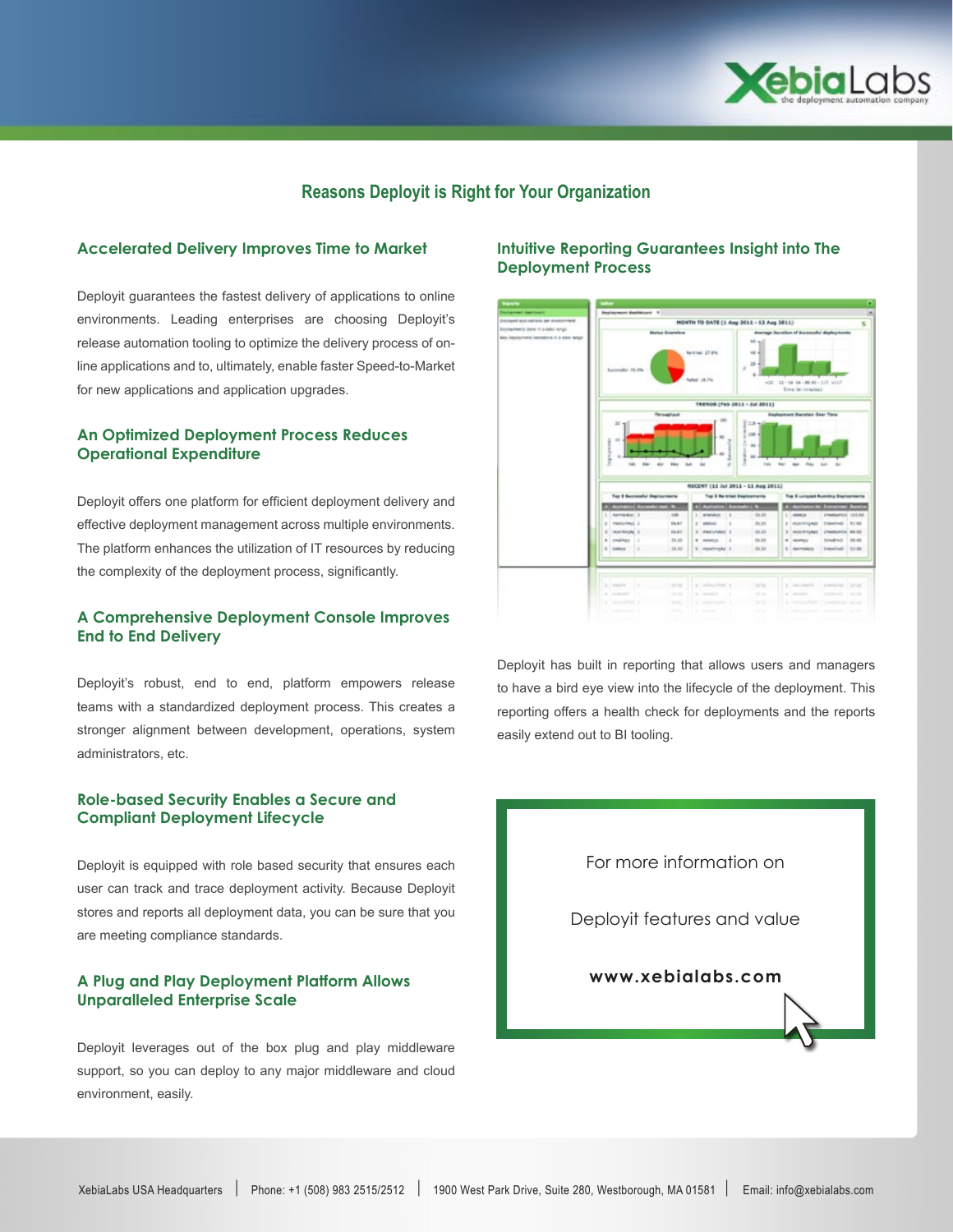

## **Reasons Deployit is Right for Your Organization**

#### **Accelerated Delivery Improves Time to Market**

Deployit guarantees the fastest delivery of applications to online environments. Leading enterprises are choosing Deployit's release automation tooling to optimize the delivery process of online applications and to, ultimately, enable faster Speed-to-Market for new applications and application upgrades.

### **An Optimized Deployment Process Reduces Operational Expenditure**

Deployit offers one platform for efficient deployment delivery and effective deployment management across multiple environments. The platform enhances the utilization of IT resources by reducing the complexity of the deployment process, significantly.

#### **A Comprehensive Deployment Console Improves End to End Delivery**

Deployit's robust, end to end, platform empowers release teams with a standardized deployment process. This creates a stronger alignment between development, operations, system administrators, etc.

#### **Role-based Security Enables a Secure and Compliant Deployment Lifecycle**

Deployit is equipped with role based security that ensures each user can track and trace deployment activity. Because Deployit stores and reports all deployment data, you can be sure that you are meeting compliance standards.

#### **A Plug and Play Deployment Platform Allows Unparalleled Enterprise Scale**

Deployit leverages out of the box plug and play middleware support, so you can deploy to any major middleware and cloud environment, easily.

#### **Intuitive Reporting Guarantees Insight into The Deployment Process**



Deployit has built in reporting that allows users and managers to have a bird eye view into the lifecycle of the deployment. This reporting offers a health check for deployments and the reports easily extend out to BI tooling.